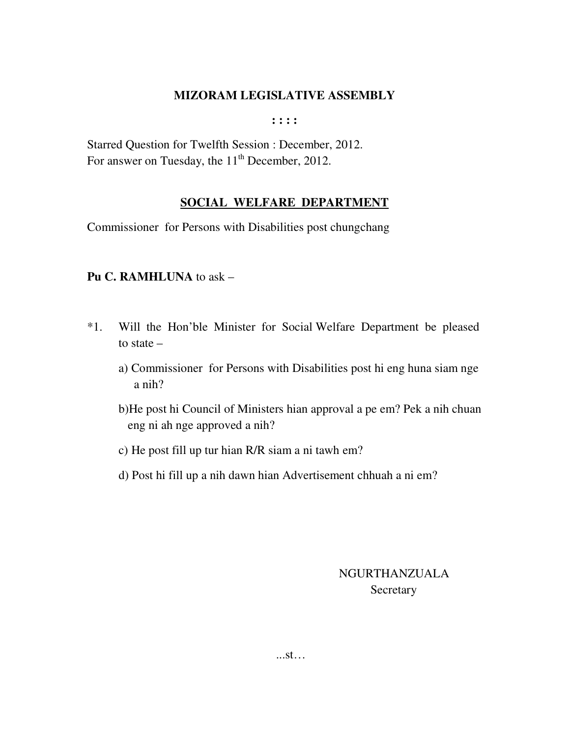**: : : :** 

Starred Question for Twelfth Session : December, 2012. For answer on Tuesday, the  $11<sup>th</sup>$  December, 2012.

## **SOCIAL WELFARE DEPARTMENT**

Commissioner for Persons with Disabilities post chungchang

## **Pu C. RAMHLUNA** to ask –

- \*1. Will the Hon'ble Minister for Social Welfare Department be pleased to state –
	- a) Commissioner for Persons with Disabilities post hi eng huna siam nge a nih?
	- b)He post hi Council of Ministers hian approval a pe em? Pek a nih chuan eng ni ah nge approved a nih?
	- c) He post fill up tur hian R/R siam a ni tawh em?
	- d) Post hi fill up a nih dawn hian Advertisement chhuah a ni em?

## NGURTHANZUALA **Secretary**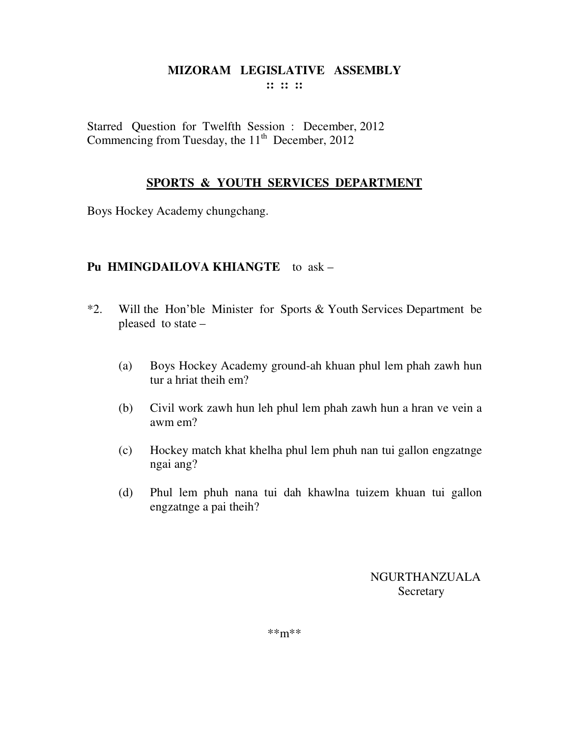## **MIZORAM LEGISLATIVE ASSEMBLY :: :: ::**

Starred Question for Twelfth Session : December, 2012 Commencing from Tuesday, the  $11<sup>th</sup>$  December, 2012

## **SPORTS & YOUTH SERVICES DEPARTMENT**

Boys Hockey Academy chungchang.

## **Pu HMINGDAILOVA KHIANGTE** to ask –

- \*2. Will the Hon'ble Minister for Sports & Youth Services Department be pleased to state –
	- (a) Boys Hockey Academy ground-ah khuan phul lem phah zawh hun tur a hriat theih em?
	- (b) Civil work zawh hun leh phul lem phah zawh hun a hran ve vein a awm em?
	- (c) Hockey match khat khelha phul lem phuh nan tui gallon engzatnge ngai ang?
	- (d) Phul lem phuh nana tui dah khawlna tuizem khuan tui gallon engzatnge a pai theih?

NGURTHANZUALA Secretary

\*\*m\*\*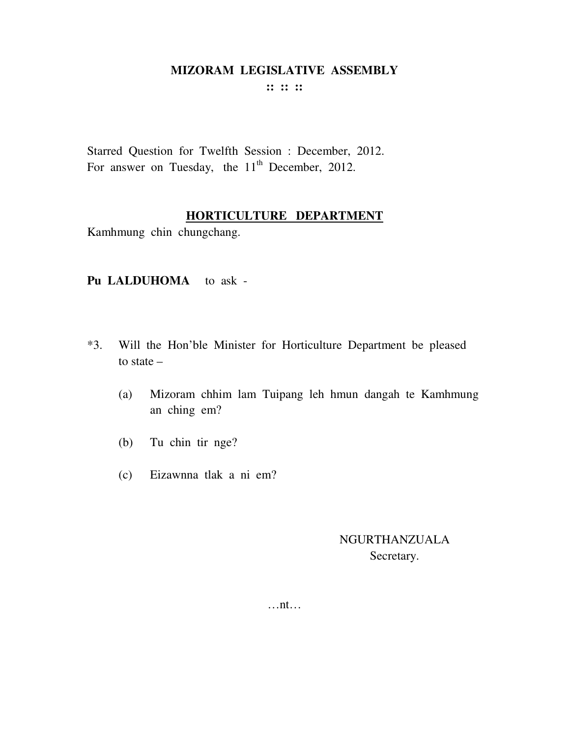**:: :: ::** 

Starred Question for Twelfth Session : December, 2012. For answer on Tuesday, the  $11<sup>th</sup>$  December, 2012.

#### **HORTICULTURE DEPARTMENT**

Kamhmung chin chungchang.

#### **Pu LALDUHOMA** to ask -

- \*3. Will the Hon'ble Minister for Horticulture Department be pleased to state –
	- (a) Mizoram chhim lam Tuipang leh hmun dangah te Kamhmung an ching em?
	- (b) Tu chin tir nge?
	- (c) Eizawnna tlak a ni em?

## NGURTHANZUALA Secretary.

…nt…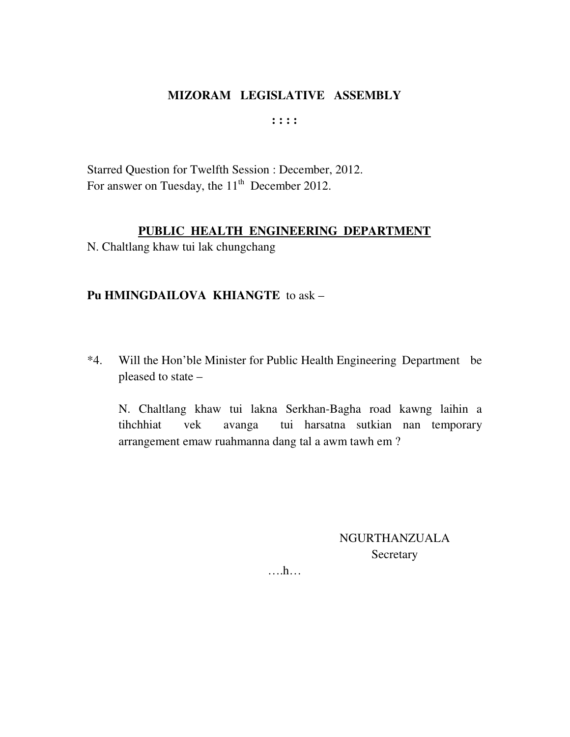**: : : :** 

Starred Question for Twelfth Session : December, 2012. For answer on Tuesday, the  $11<sup>th</sup>$  December 2012.

## **PUBLIC HEALTH ENGINEERING DEPARTMENT**

N. Chaltlang khaw tui lak chungchang

#### **Pu HMINGDAILOVA KHIANGTE** to ask –

\*4. Will the Hon'ble Minister for Public Health Engineering Department be pleased to state –

 N. Chaltlang khaw tui lakna Serkhan-Bagha road kawng laihin a tihchhiat vek avanga tui harsatna sutkian nan temporary arrangement emaw ruahmanna dang tal a awm tawh em ?

> NGURTHANZUALA **Secretary**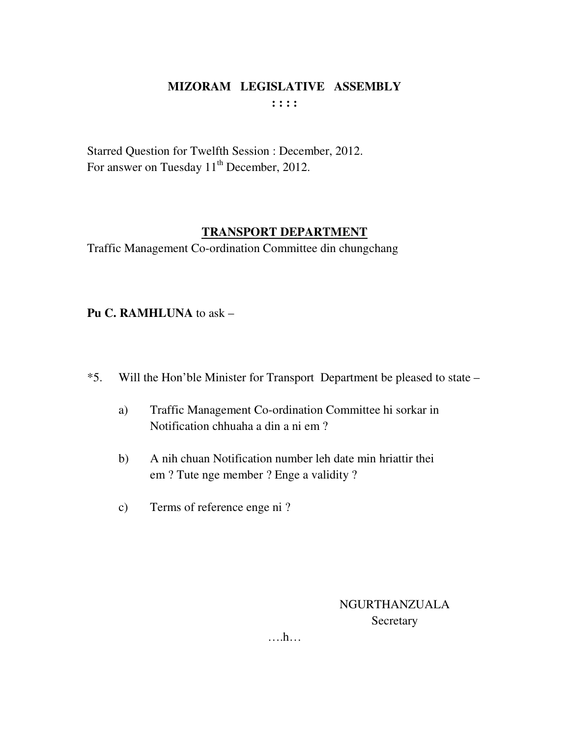## **MIZORAM LEGISLATIVE ASSEMBLY : : : :**

Starred Question for Twelfth Session : December, 2012. For answer on Tuesday 11<sup>th</sup> December, 2012.

## **TRANSPORT DEPARTMENT**

Traffic Management Co-ordination Committee din chungchang

**Pu C. RAMHLUNA** to ask –

- \*5. Will the Hon'ble Minister for Transport Department be pleased to state
	- a) Traffic Management Co-ordination Committee hi sorkar in Notification chhuaha a din a ni em ?
	- b) A nih chuan Notification number leh date min hriattir thei em ? Tute nge member ? Enge a validity ?
	- c) Terms of reference enge ni ?

NGURTHANZUALA Secretary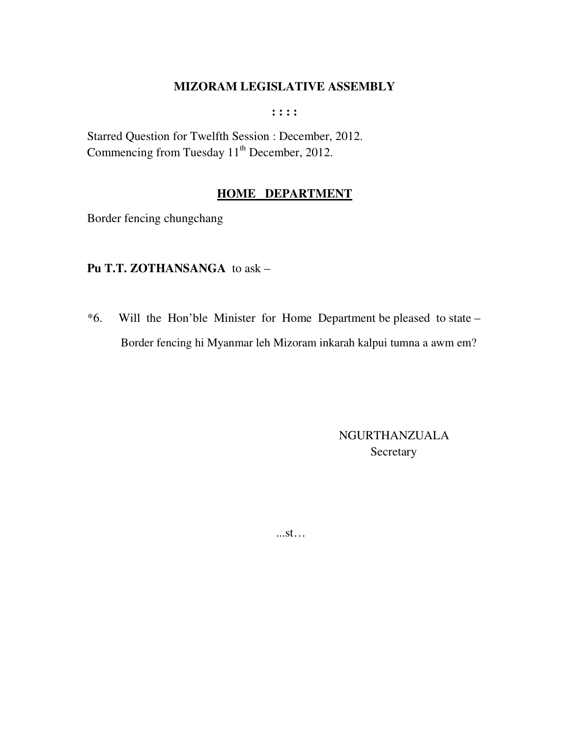$: : : :$ 

Starred Question for Twelfth Session : December, 2012. Commencing from Tuesday 11<sup>th</sup> December, 2012.

## **HOME DEPARTMENT**

Border fencing chungchang

#### Pu T.T. ZOTHANSANGA to ask -

\*6. Will the Hon'ble Minister for Home Department be pleased to state -Border fencing hi Myanmar leh Mizoram inkarah kalpui tumna a awm em?

> **NGURTHANZUALA** Secretary

 $...st...$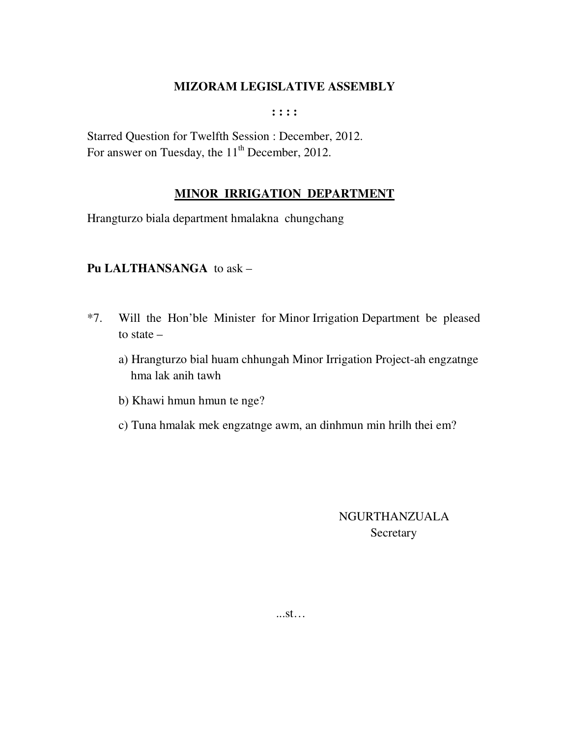**: : : :** 

Starred Question for Twelfth Session : December, 2012. For answer on Tuesday, the 11<sup>th</sup> December, 2012.

## **MINOR IRRIGATION DEPARTMENT**

Hrangturzo biala department hmalakna chungchang

#### **Pu LALTHANSANGA** to ask –

- \*7. Will the Hon'ble Minister for Minor Irrigation Department be pleased to state –
	- a) Hrangturzo bial huam chhungah Minor Irrigation Project-ah engzatnge hma lak anih tawh
	- b) Khawi hmun hmun te nge?
	- c) Tuna hmalak mek engzatnge awm, an dinhmun min hrilh thei em?

## NGURTHANZUALA **Secretary**

...st…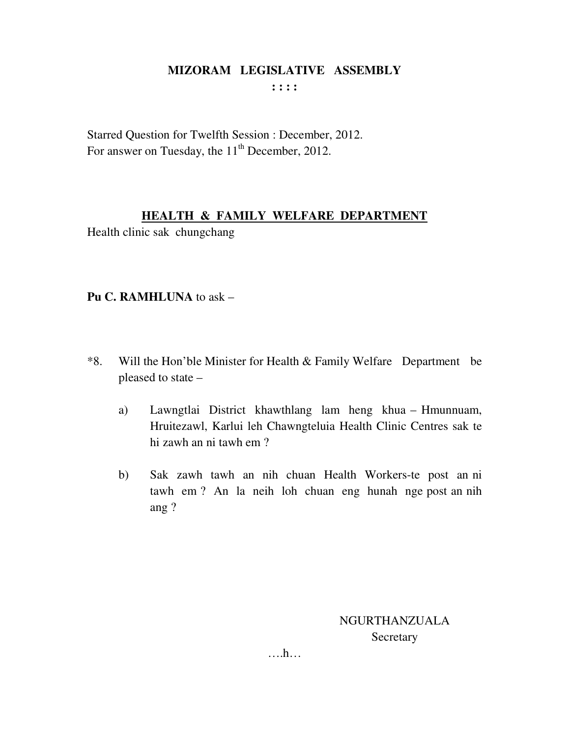**: : : :** 

Starred Question for Twelfth Session : December, 2012. For answer on Tuesday, the 11<sup>th</sup> December, 2012.

## **HEALTH & FAMILY WELFARE DEPARTMENT**

Health clinic sak chungchang

## **Pu C. RAMHLUNA** to ask –

- \*8. Will the Hon'ble Minister for Health & Family Welfare Department be pleased to state –
	- a) Lawngtlai District khawthlang lam heng khua Hmunnuam, Hruitezawl, Karlui leh Chawngteluia Health Clinic Centres sak te hi zawh an ni tawh em ?
	- b) Sak zawh tawh an nih chuan Health Workers-te post an ni tawh em ? An la neih loh chuan eng hunah nge post an nih ang ?

NGURTHANZUALA Secretary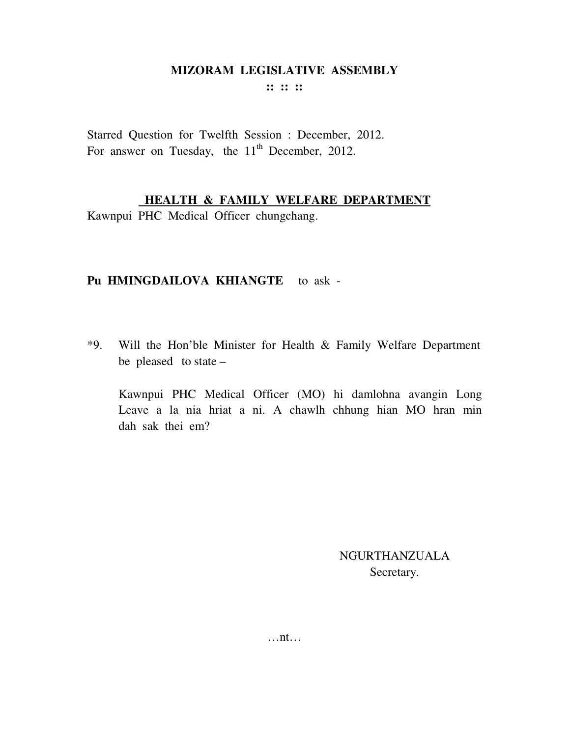**:: :: ::** 

Starred Question for Twelfth Session : December, 2012. For answer on Tuesday, the  $11<sup>th</sup>$  December, 2012.

## **HEALTH & FAMILY WELFARE DEPARTMENT**

Kawnpui PHC Medical Officer chungchang.

## **Pu HMINGDAILOVA KHIANGTE** to ask -

\*9. Will the Hon'ble Minister for Health & Family Welfare Department be pleased to state –

 Kawnpui PHC Medical Officer (MO) hi damlohna avangin Long Leave a la nia hriat a ni. A chawlh chhung hian MO hran min dah sak thei em?

> NGURTHANZUALA Secretary.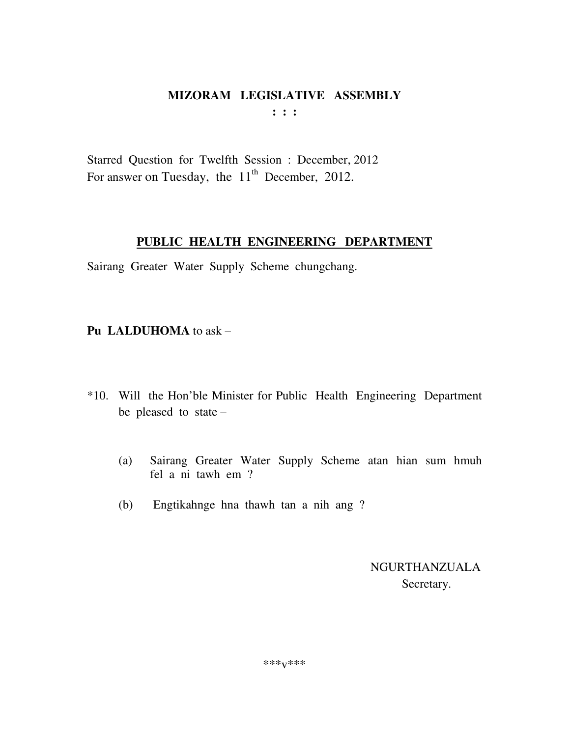$\mathbf{1}$   $\mathbf{1}$   $\mathbf{1}$ 

Starred Question for Twelfth Session : December, 2012 For answer on Tuesday, the 11<sup>th</sup> December, 2012.

## PUBLIC HEALTH ENGINEERING DEPARTMENT

Sairang Greater Water Supply Scheme chungchang.

## Pu LALDUHOMA to ask -

- \*10. Will the Hon'ble Minister for Public Health Engineering Department be pleased to state  $-$ 
	- Sairang Greater Water Supply Scheme atan hian sum hmuh  $(a)$ fel a ni tawh em ?
	- Engtikahnge hna thawh tan a nih ang ?  $(b)$

**NGURTHANZUALA** Secretary.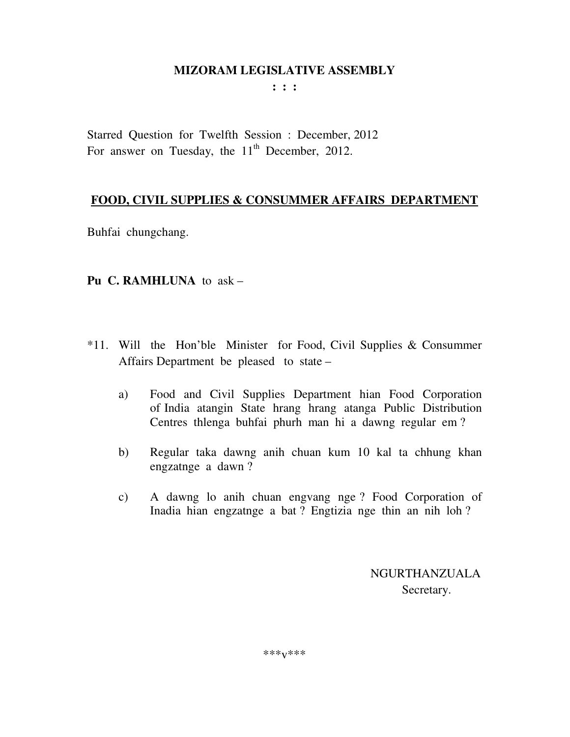**: : :** 

Starred Question for Twelfth Session : December, 2012 For answer on Tuesday, the  $11<sup>th</sup>$  December, 2012.

## **FOOD, CIVIL SUPPLIES & CONSUMMER AFFAIRS DEPARTMENT**

Buhfai chungchang.

## **Pu C. RAMHLUNA** to ask –

- \*11. Will the Hon'ble Minister for Food, Civil Supplies & Consummer Affairs Department be pleased to state –
	- a) Food and Civil Supplies Department hian Food Corporation of India atangin State hrang hrang atanga Public Distribution Centres thlenga buhfai phurh man hi a dawng regular em ?
	- b) Regular taka dawng anih chuan kum 10 kal ta chhung khan engzatnge a dawn ?
	- c) A dawng lo anih chuan engvang nge ? Food Corporation of Inadia hian engzatnge a bat ? Engtizia nge thin an nih loh ?

 NGURTHANZUALA Secretary.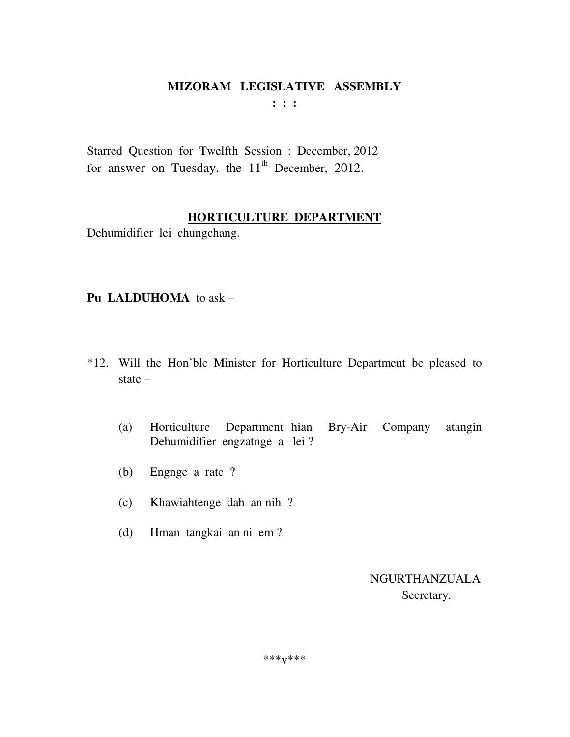$: : :$ 

Starred Question for Twelfth Session : December, 2012 for answer on Tuesday, the 11<sup>th</sup> December, 2012.

## HORTICULTURE DEPARTMENT

Dehumidifier lei chungchang.

## Pu LALDUHOMA to ask  $-$

- \*12. Will the Hon'ble Minister for Horticulture Department be pleased to state  $-$ 
	- Department hian Bry-Air  $(a)$ Horticulture Company atangin Dehumidifier engzatnge a lei?
	- Engnge a rate ?  $(b)$
	- Khawiahtenge dah an nih?  $(c)$
	- Hman tangkai an ni em?  $(d)$

**NGURTHANZUALA** Secretary.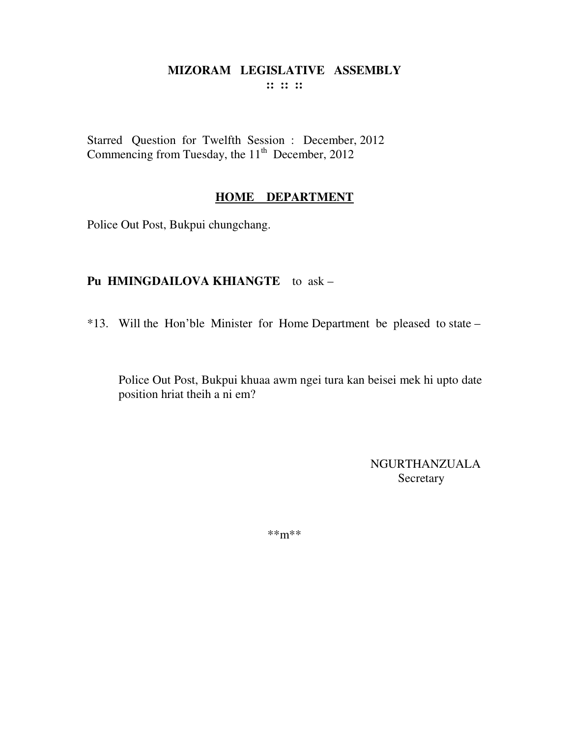#### **MIZORAM LEGISLATIVE ASSEMBLY :: :: ::**

Starred Question for Twelfth Session : December, 2012 Commencing from Tuesday, the  $11<sup>th</sup>$  December, 2012

#### **HOME DEPARTMENT**

Police Out Post, Bukpui chungchang.

#### **Pu HMINGDAILOVA KHIANGTE** to ask –

\*13. Will the Hon'ble Minister for Home Department be pleased to state –

Police Out Post, Bukpui khuaa awm ngei tura kan beisei mek hi upto date position hriat theih a ni em?

> NGURTHANZUALA **Secretary**

\*\*m\*\*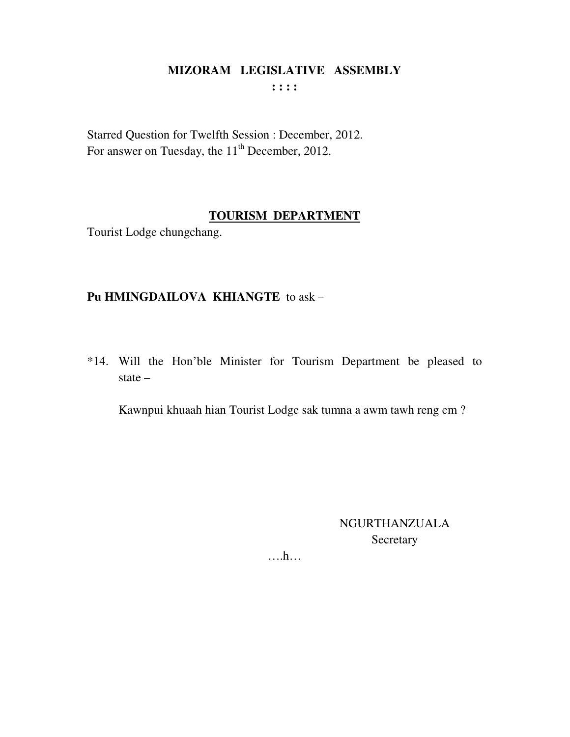$\cdots$ 

Starred Question for Twelfth Session : December, 2012. For answer on Tuesday, the 11<sup>th</sup> December, 2012.

## **TOURISM DEPARTMENT**

Tourist Lodge chungchang.

## Pu HMINGDAILOVA KHIANGTE to ask -

\*14. Will the Hon'ble Minister for Tourism Department be pleased to state  $-$ 

Kawnpui khuaah hian Tourist Lodge sak tumna a awm tawh reng em?

**NGURTHANZUALA** Secretary

 $\dots h\dots$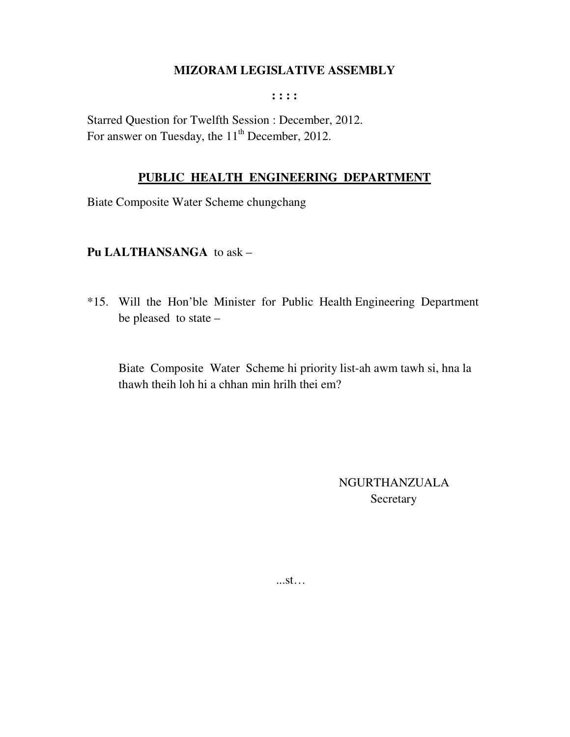$: : : :$ 

Starred Question for Twelfth Session : December, 2012. For answer on Tuesday, the 11<sup>th</sup> December, 2012.

#### PUBLIC HEALTH ENGINEERING DEPARTMENT

Biate Composite Water Scheme chungchang

#### Pu LALTHANSANGA to ask -

\*15. Will the Hon'ble Minister for Public Health Engineering Department be pleased to state -

Biate Composite Water Scheme hi priority list-ah awm tawh si, hna la thawh theih loh hi a chhan min hrilh thei em?

> **NGURTHANZUALA** Secretary

 $...st...$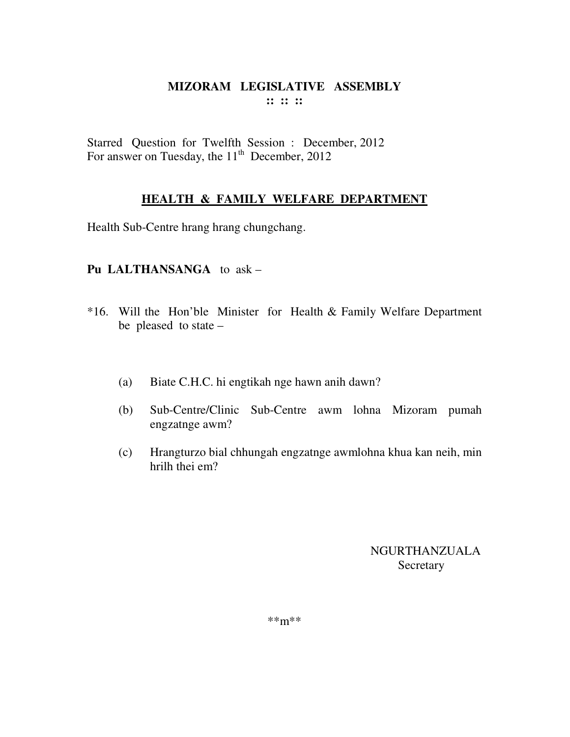## **MIZORAM LEGISLATIVE ASSEMBLY :: :: ::**

Starred Question for Twelfth Session : December, 2012 For answer on Tuesday, the  $11<sup>th</sup>$  December, 2012

## **HEALTH & FAMILY WELFARE DEPARTMENT**

Health Sub-Centre hrang hrang chungchang.

## **Pu LALTHANSANGA** to ask –

- \*16. Will the Hon'ble Minister for Health & Family Welfare Department be pleased to state –
	- (a) Biate C.H.C. hi engtikah nge hawn anih dawn?
	- (b) Sub-Centre/Clinic Sub-Centre awm lohna Mizoram pumah engzatnge awm?
	- (c) Hrangturzo bial chhungah engzatnge awmlohna khua kan neih, min hrilh thei em?

NGURTHANZUALA **Secretary** 

\*\*m\*\*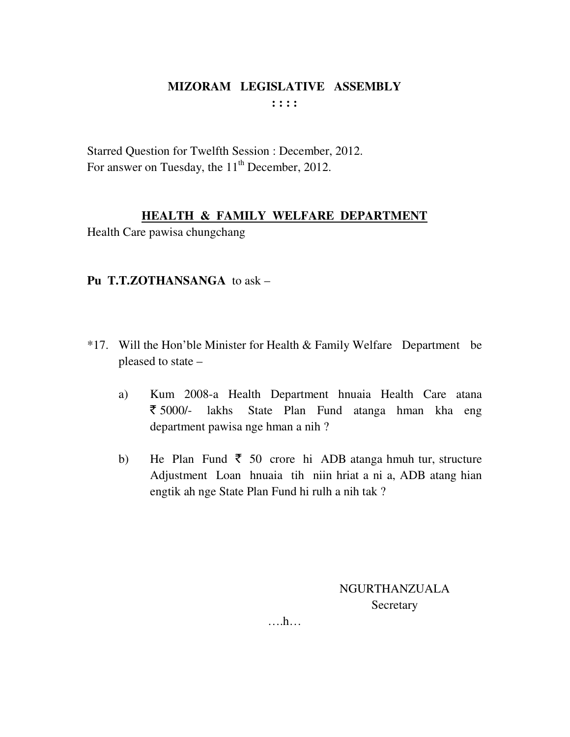## MIZORAM LEGISLATIVE ASSEMBLY  $: : : :$

Starred Question for Twelfth Session : December, 2012. For answer on Tuesday, the 11<sup>th</sup> December, 2012.

#### HEALTH & FAMILY WELFARE DEPARTMENT

Health Care pawisa chungchang

## Pu T.T.ZOTHANSANGA to ask -

- \*17. Will the Hon'ble Minister for Health & Family Welfare Department be pleased to state –
	- a) Kum 2008-a Health Department hnuaia Health Care atana ₹ 5000/lakhs State Plan Fund atanga hman kha eng department pawisa nge hman a nih?
	- He Plan Fund  $\bar{\xi}$  50 crore hi ADB atanga hmuh tur, structure  $b)$ Adjustment Loan hnuaia tih niin hriat a ni a, ADB atang hian engtik ah nge State Plan Fund hi rulh a nih tak?

**NGURTHANZUALA** Secretary

 $\dots h\dots$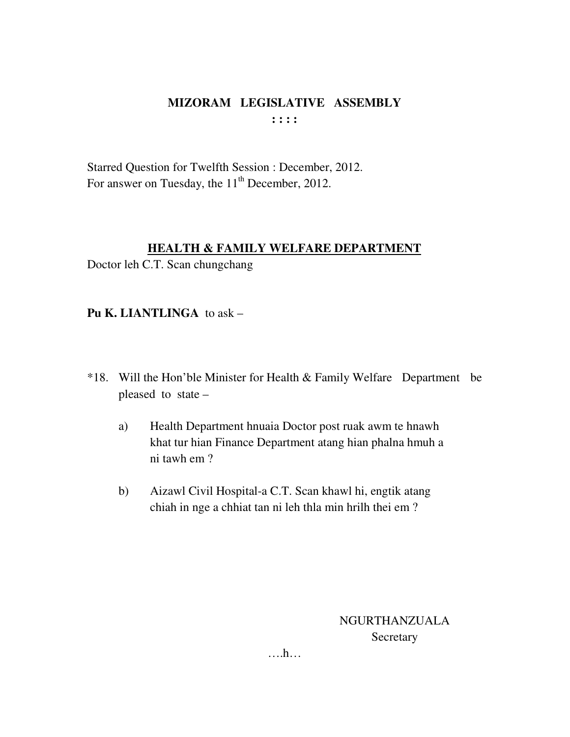## **MIZORAM LEGISLATIVE ASSEMBLY : : : :**

Starred Question for Twelfth Session : December, 2012. For answer on Tuesday, the 11<sup>th</sup> December, 2012.

#### **HEALTH & FAMILY WELFARE DEPARTMENT**

Doctor leh C.T. Scan chungchang

**Pu K. LIANTLINGA** to ask –

- \*18. Will the Hon'ble Minister for Health & Family Welfare Department be pleased to state –
	- a) Health Department hnuaia Doctor post ruak awm te hnawh khat tur hian Finance Department atang hian phalna hmuh a ni tawh em ?
	- b) Aizawl Civil Hospital-a C.T. Scan khawl hi, engtik atang chiah in nge a chhiat tan ni leh thla min hrilh thei em ?

NGURTHANZUALA Secretary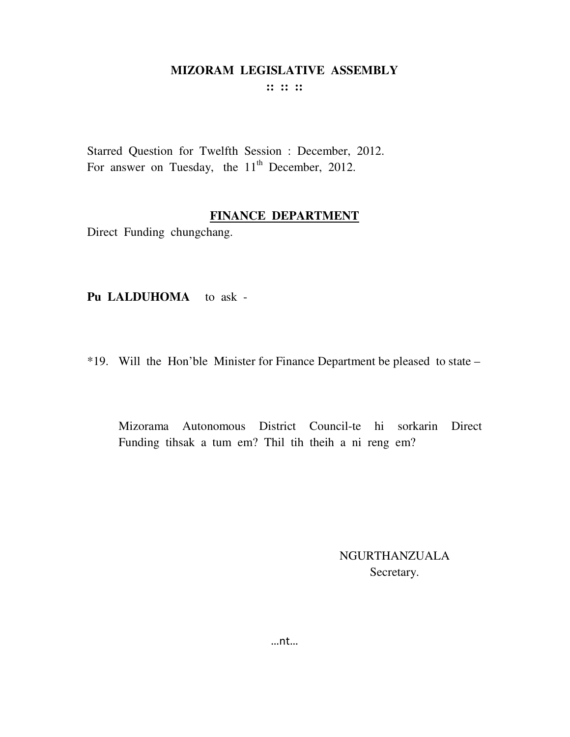**:: :: ::** 

Starred Question for Twelfth Session : December, 2012. For answer on Tuesday, the  $11<sup>th</sup>$  December, 2012.

#### **FINANCE DEPARTMENT**

Direct Funding chungchang.

**Pu LALDUHOMA** to ask -

\*19. Will the Hon'ble Minister for Finance Department be pleased to state –

 Mizorama Autonomous District Council-te hi sorkarin Direct Funding tihsak a tum em? Thil tih theih a ni reng em?

> NGURTHANZUALA Secretary.